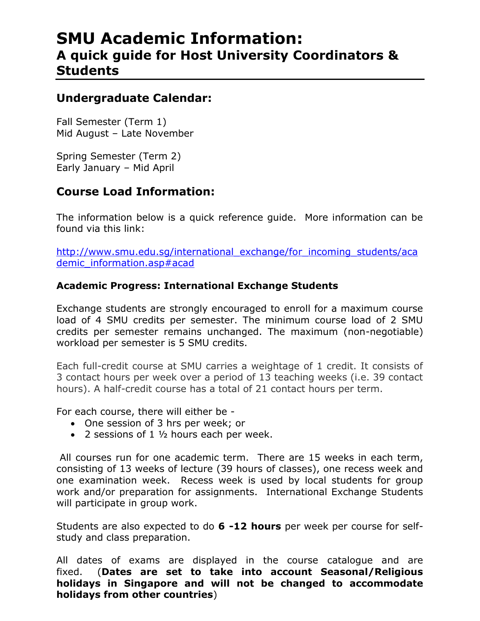# **SMU Academic Information: A quick guide for Host University Coordinators & Students**

# **Undergraduate Calendar:**

Fall Semester (Term 1) Mid August – Late November

Spring Semester (Term 2) Early January – Mid April

# **Course Load Information:**

The information below is a quick reference guide. More information can be found via this link:

[http://www.smu.edu.sg/international\\_exchange/for\\_incoming\\_students/aca](http://www.smu.edu.sg/international_exchange/for_incoming_students/academic_information.asp#acad) [demic\\_information.asp#acad](http://www.smu.edu.sg/international_exchange/for_incoming_students/academic_information.asp#acad)

## **Academic Progress: International Exchange Students**

Exchange students are strongly encouraged to enroll for a maximum course load of 4 SMU credits per semester. The minimum course load of 2 SMU credits per semester remains unchanged. The maximum (non-negotiable) workload per semester is 5 SMU credits.

Each full-credit course at SMU carries a weightage of 1 credit. It consists of 3 contact hours per week over a period of 13 teaching weeks (i.e. 39 contact hours). A half-credit course has a total of 21 contact hours per term.

For each course, there will either be -

- One session of 3 hrs per week; or
- $\bullet$  2 sessions of 1  $1/2$  hours each per week.

All courses run for one academic term. There are 15 weeks in each term, consisting of 13 weeks of lecture (39 hours of classes), one recess week and one examination week. Recess week is used by local students for group work and/or preparation for assignments. International Exchange Students will participate in group work.

Students are also expected to do **6 -12 hours** per week per course for selfstudy and class preparation.

All dates of exams are displayed in the course catalogue and are fixed. (**Dates are set to take into account Seasonal/Religious holidays in Singapore and will not be changed to accommodate holidays from other countries**)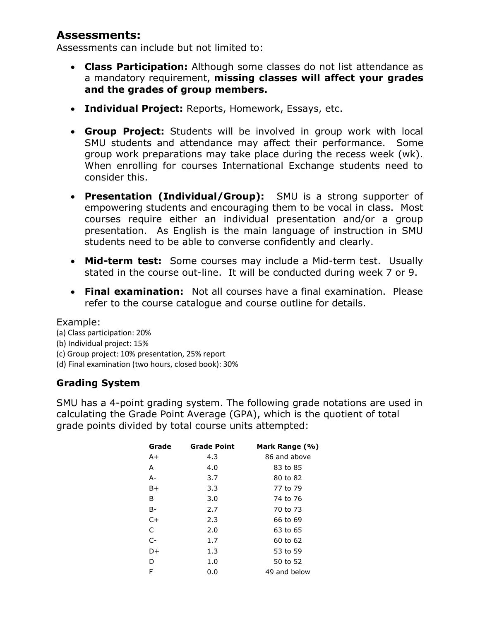# **Assessments:**

Assessments can include but not limited to:

- **Class Participation:** Although some classes do not list attendance as a mandatory requirement, **missing classes will affect your grades and the grades of group members.**
- **Individual Project:** Reports, Homework, Essays, etc.
- **Group Project:** Students will be involved in group work with local SMU students and attendance may affect their performance. Some group work preparations may take place during the recess week (wk). When enrolling for courses International Exchange students need to consider this.
- **Presentation (Individual/Group):** SMU is a strong supporter of empowering students and encouraging them to be vocal in class. Most courses require either an individual presentation and/or a group presentation. As English is the main language of instruction in SMU students need to be able to converse confidently and clearly.
- **Mid-term test:** Some courses may include a Mid-term test. Usually stated in the course out-line. It will be conducted during week 7 or 9.
- **Final examination:** Not all courses have a final examination. Please refer to the course catalogue and course outline for details.

#### Example:

(a) Class participation: 20% (b) Individual project: 15% (c) Group project: 10% presentation, 25% report (d) Final examination (two hours, closed book): 30%

## **Grading System**

SMU has a 4-point grading system. The following grade notations are used in calculating the Grade Point Average (GPA), which is the quotient of total grade points divided by total course units attempted:

| Grade | <b>Grade Point</b> | Mark Range (%) |
|-------|--------------------|----------------|
| A+    | 4.3                | 86 and above   |
| A     | 4.0                | 83 to 85       |
| A-    | 3.7                | 80 to 82       |
| B+    | 3.3                | 77 to 79       |
| B     | 3.0                | 74 to 76       |
| B-    | 2.7                | 70 to 73       |
| $C+$  | 2.3                | 66 to 69       |
| C     | 2.0                | 63 to 65       |
| $C-$  | 1.7                | 60 to 62       |
| D+    | 1.3                | 53 to 59       |
| D     | 1.0                | 50 to 52       |
| F     | 0.0                | 49 and below   |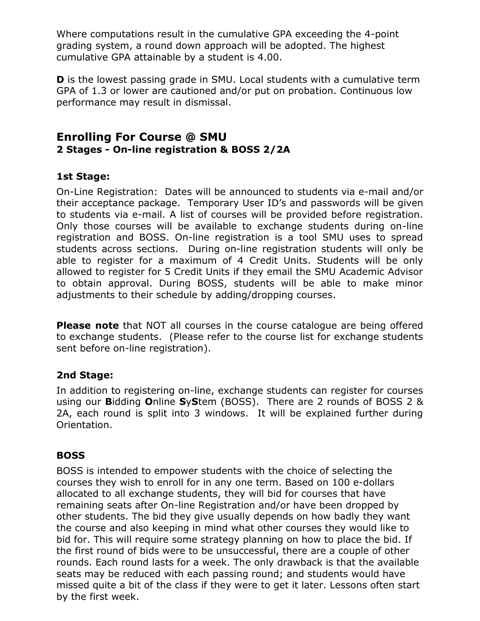Where computations result in the cumulative GPA exceeding the 4-point grading system, a round down approach will be adopted. The highest cumulative GPA attainable by a student is 4.00.

**D** is the lowest passing grade in SMU. Local students with a cumulative term GPA of 1.3 or lower are cautioned and/or put on probation. Continuous low performance may result in dismissal.

## **Enrolling For Course @ SMU 2 Stages - On-line registration & BOSS 2/2A**

## **1st Stage:**

On-Line Registration: Dates will be announced to students via e-mail and/or their acceptance package. Temporary User ID's and passwords will be given to students via e-mail. A list of courses will be provided before registration. Only those courses will be available to exchange students during on-line registration and BOSS. On-line registration is a tool SMU uses to spread students across sections. During on-line registration students will only be able to register for a maximum of 4 Credit Units. Students will be only allowed to register for 5 Credit Units if they email the SMU Academic Advisor to obtain approval. During BOSS, students will be able to make minor adjustments to their schedule by adding/dropping courses.

**Please note** that NOT all courses in the course catalogue are being offered to exchange students. (Please refer to the course list for exchange students sent before on-line registration).

### **2nd Stage:**

In addition to registering on-line, exchange students can register for courses using our **B**idding **O**nline **S**y**S**tem (BOSS). There are 2 rounds of BOSS 2 & 2A, each round is split into 3 windows. It will be explained further during Orientation.

### **BOSS**

BOSS is intended to empower students with the choice of selecting the courses they wish to enroll for in any one term. Based on 100 e-dollars allocated to all exchange students, they will bid for courses that have remaining seats after On-line Registration and/or have been dropped by other students. The bid they give usually depends on how badly they want the course and also keeping in mind what other courses they would like to bid for. This will require some strategy planning on how to place the bid. If the first round of bids were to be unsuccessful, there are a couple of other rounds. Each round lasts for a week. The only drawback is that the available seats may be reduced with each passing round; and students would have missed quite a bit of the class if they were to get it later. Lessons often start by the first week.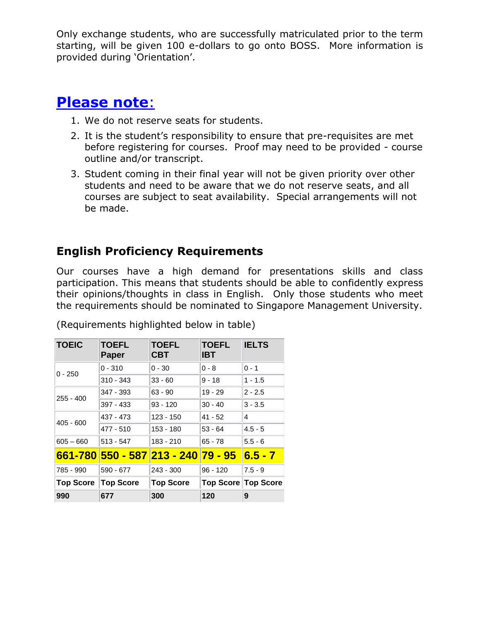Only exchange students, who are successfully matriculated prior to the term starting, will be given 100 e-dollars to go onto BOSS. More information is provided during 'Orientation'.

# **Please note**:

- 1. We do not reserve seats for students.
- 2. It is the student's responsibility to ensure that pre-requisites are met before registering for courses. Proof may need to be provided - course outline and/or transcript.
- 3. Student coming in their final year will not be given priority over other students and need to be aware that we do not reserve seats, and all courses are subject to seat availability. Special arrangements will not be made.

# **English Proficiency Requirements**

Our courses have a high demand for presentations skills and class participation. This means that students should be able to confidently express their opinions/thoughts in class in English. Only those students who meet the requirements should be nominated to Singapore Management University.

| <b>TOEIC</b>     | <b>TOEFL</b><br><b>Paper</b>               | <b>TOEFL</b><br><b>CBT</b> | <b>TOEFL</b><br><b>IBT</b> | <b>IELTS</b> |
|------------------|--------------------------------------------|----------------------------|----------------------------|--------------|
| $0 - 250$        | $0 - 310$                                  | $0 - 30$                   | $0 - 8$                    | $0 - 1$      |
|                  | $310 - 343$                                | $33 - 60$                  | $9 - 18$                   | $1 - 1.5$    |
| 255 - 400        | 347 - 393                                  | $63 - 90$                  | $19 - 29$                  | $2 - 2.5$    |
|                  | $397 - 433$                                | $93 - 120$                 | $30 - 40$                  | $3 - 3.5$    |
| $405 - 600$      | 437 - 473                                  | $123 - 150$                | $41 - 52$                  | 4            |
|                  | 477 - 510                                  | 153 - 180                  | $53 - 64$                  | $4.5 - 5$    |
| $605 - 660$      | $513 - 547$                                | 183 - 210                  | $65 - 78$                  | $5.5 - 6$    |
|                  | <u>661-780 550 - 587 213 - 240 79 - 95</u> |                            |                            | $6.5 - 7$    |
| 785 - 990        | 590 - 677                                  | $243 - 300$                | 96 - 120                   | $7.5 - 9$    |
| <b>Top Score</b> | <b>Top Score</b>                           | <b>Top Score</b>           | Top Score Top Score        |              |
| 990              | 677                                        | 300                        | 120                        | 9            |

(Requirements highlighted below in table)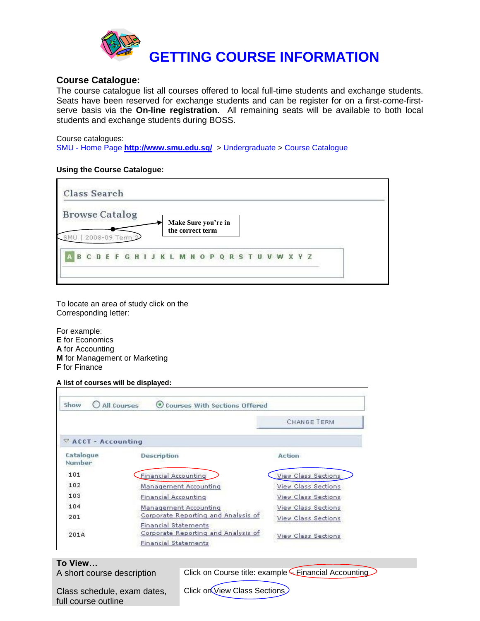

#### **Course Catalogue:**

The course catalogue list all courses offered to local full-time students and exchange students. Seats have been reserved for exchange students and can be register for on a first-come-firstserve basis via the **On-line registration**. All remaining seats will be available to both local students and exchange students during BOSS.

#### Course catalogues:

SMU - Home Page **<http://www.smu.edu.sg/>** > Undergraduate > Course Catalogue

#### **Using the Course Catalogue:**



To locate an area of study click on the Corresponding letter:

For example: **E** for Economics **A** for Accounting **M** for Management or Marketing **F** for Finance

#### **A list of courses will be displayed:**

| Show                       | All Courses<br>Courses With Sections Offered                                                      |                     |
|----------------------------|---------------------------------------------------------------------------------------------------|---------------------|
|                            |                                                                                                   | <b>CHANGE TERM</b>  |
| $\nabla$ ACCT - Accounting |                                                                                                   |                     |
| Catalogue<br>Number        | Description                                                                                       | Action              |
| 101                        | Financial Accounting                                                                              | View Class Sections |
| 102                        | Management Accounting                                                                             | View Class Sections |
| 103                        | <b>Financial Accounting</b>                                                                       | View Class Sections |
| 104                        | Management Accounting                                                                             | View Class Sections |
| 201                        | Corporate Reporting and Analysis of                                                               | View Class Sections |
| 201A                       | <b>Financial Statements</b><br>Corporate Reporting and Analysis of<br><b>Financial Statements</b> | View Class Sections |

#### **To View…**

A short course description Click on Course title: example Financial Accounting

Class schedule, exam dates, full course outline

Click on View Class Sections